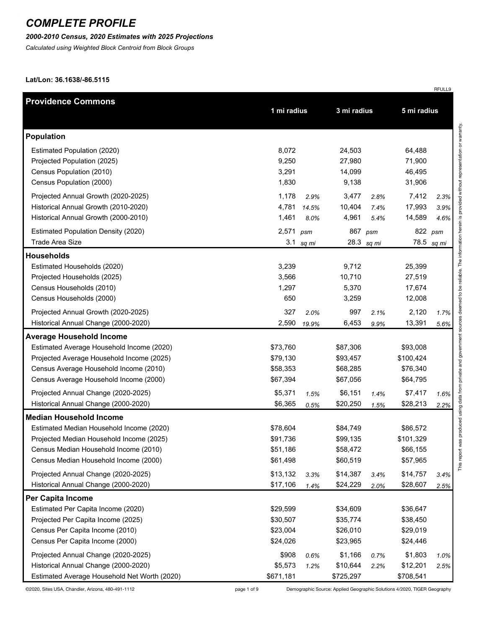#### *2000-2010 Census, 2020 Estimates with 2025 Projections*

*Calculated using Weighted Block Centroid from Block Groups*

**Lat/Lon: 36.1638/-86.5115**

| <b>Providence Commons</b>                    |             |       |             |            |             |         |
|----------------------------------------------|-------------|-------|-------------|------------|-------------|---------|
|                                              | 1 mi radius |       | 3 mi radius |            | 5 mi radius |         |
| <b>Population</b>                            |             |       |             |            |             |         |
| Estimated Population (2020)                  | 8,072       |       | 24,503      |            | 64,488      |         |
| Projected Population (2025)                  | 9,250       |       | 27,980      |            | 71,900      |         |
| Census Population (2010)                     | 3,291       |       | 14,099      |            | 46,495      |         |
| Census Population (2000)                     | 1,830       |       | 9,138       |            | 31,906      |         |
| Projected Annual Growth (2020-2025)          | 1,178       | 2.9%  | 3,477       | 2.8%       | 7,412       | 2.3%    |
| Historical Annual Growth (2010-2020)         | 4,781       | 14.5% | 10,404      | 7.4%       | 17,993      | 3.9%    |
| Historical Annual Growth (2000-2010)         | 1,461       | 8.0%  | 4,961       | 5.4%       | 14,589      | 4.6%    |
| <b>Estimated Population Density (2020)</b>   | 2,571       | psm   | 867         | psm        |             | 822 psm |
| Trade Area Size                              | 3.1         | sq mi |             | 28.3 sq mi | 78.5        | sq mi   |
| <b>Households</b>                            |             |       |             |            |             |         |
| Estimated Households (2020)                  | 3,239       |       | 9,712       |            | 25,399      |         |
| Projected Households (2025)                  | 3,566       |       | 10,710      |            | 27,519      |         |
| Census Households (2010)                     | 1,297       |       | 5,370       |            | 17,674      |         |
| Census Households (2000)                     | 650         |       | 3,259       |            | 12,008      |         |
| Projected Annual Growth (2020-2025)          | 327         | 2.0%  | 997         | 2.1%       | 2,120       | 1.7%    |
| Historical Annual Change (2000-2020)         | 2,590       | 19.9% | 6,453       | 9.9%       | 13,391      | 5.6%    |
| <b>Average Household Income</b>              |             |       |             |            |             |         |
| Estimated Average Household Income (2020)    | \$73,760    |       | \$87,306    |            | \$93,008    |         |
| Projected Average Household Income (2025)    | \$79,130    |       | \$93,457    |            | \$100,424   |         |
| Census Average Household Income (2010)       | \$58,353    |       | \$68,285    |            | \$76,340    |         |
| Census Average Household Income (2000)       | \$67,394    |       | \$67,056    |            | \$64,795    |         |
| Projected Annual Change (2020-2025)          | \$5,371     | 1.5%  | \$6,151     | 1.4%       | \$7,417     | 1.6%    |
| Historical Annual Change (2000-2020)         | \$6,365     | 0.5%  | \$20,250    | 1.5%       | \$28,213    | 2.2%    |
| <b>Median Household Income</b>               |             |       |             |            |             |         |
| Estimated Median Household Income (2020)     | \$78,604    |       | \$84,749    |            | \$86,572    |         |
| Projected Median Household Income (2025)     | \$91,736    |       | \$99,135    |            | \$101,329   |         |
| Census Median Household Income (2010)        | \$51,186    |       | \$58,472    |            | \$66,155    |         |
| Census Median Household Income (2000)        | \$61,498    |       | \$60,519    |            | \$57,965    |         |
| Projected Annual Change (2020-2025)          | \$13,132    | 3.3%  | \$14,387    | 3.4%       | \$14,757    | 3.4%    |
| Historical Annual Change (2000-2020)         | \$17,106    | 1.4%  | \$24,229    | 2.0%       | \$28,607    | 2.5%    |
| Per Capita Income                            |             |       |             |            |             |         |
| Estimated Per Capita Income (2020)           | \$29,599    |       | \$34,609    |            | \$36,647    |         |
| Projected Per Capita Income (2025)           | \$30,507    |       | \$35,774    |            | \$38,450    |         |
| Census Per Capita Income (2010)              | \$23,004    |       | \$26,010    |            | \$29,019    |         |
| Census Per Capita Income (2000)              | \$24,026    |       | \$23,965    |            | \$24,446    |         |
| Projected Annual Change (2020-2025)          | \$908       | 0.6%  | \$1,166     | 0.7%       | \$1,803     | 1.0%    |
| Historical Annual Change (2000-2020)         | \$5,573     | 1.2%  | \$10,644    | 2.2%       | \$12,201    | 2.5%    |
| Estimated Average Household Net Worth (2020) | \$671,181   |       | \$725,297   |            | \$708,541   |         |

©2020, Sites USA, Chandler, Arizona, 480-491-1112 page 1 of 9 Demographic Source: Applied Geographic Solutions 4/2020, TIGER Geography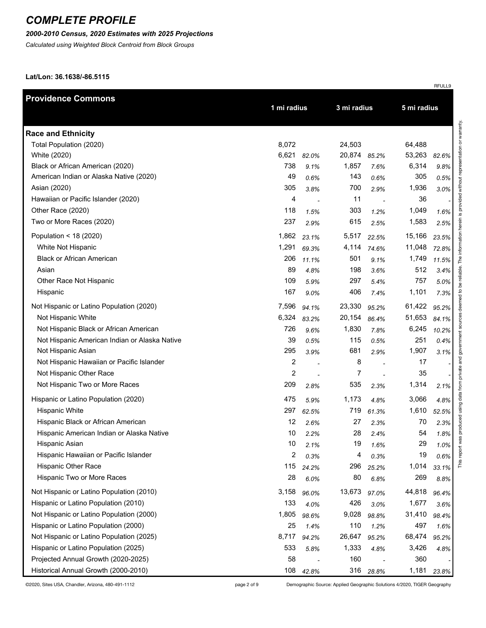### *2000-2010 Census, 2020 Estimates with 2025 Projections*

*Calculated using Weighted Block Centroid from Block Groups*

**Lat/Lon: 36.1638/-86.5115**

| <b>Providence Commons</b>                     |                         |       |             |             |        |       |
|-----------------------------------------------|-------------------------|-------|-------------|-------------|--------|-------|
|                                               | 1 mi radius             |       | 3 mi radius | 5 mi radius |        |       |
| <b>Race and Ethnicity</b>                     |                         |       |             |             |        |       |
| Total Population (2020)                       | 8,072                   |       | 24,503      |             | 64,488 |       |
| White (2020)                                  | 6,621                   | 82.0% | 20,874      | 85.2%       | 53,263 | 82.6% |
| Black or African American (2020)              | 738                     | 9.1%  | 1,857       | 7.6%        | 6,314  | 9.8%  |
| American Indian or Alaska Native (2020)       | 49                      | 0.6%  | 143         | 0.6%        | 305    | 0.5%  |
| Asian (2020)                                  | 305                     | 3.8%  | 700         | 2.9%        | 1,936  | 3.0%  |
| Hawaiian or Pacific Islander (2020)           | 4                       |       | 11          |             | 36     |       |
| Other Race (2020)                             | 118                     | 1.5%  | 303         | 1.2%        | 1,049  | 1.6%  |
| Two or More Races (2020)                      | 237                     | 2.9%  | 615         | 2.5%        | 1,583  | 2.5%  |
| Population < 18 (2020)                        | 1,862                   | 23.1% | 5,517       | 22.5%       | 15,166 | 23.5% |
| White Not Hispanic                            | 1,291                   | 69.3% | 4,114       | 74.6%       | 11,048 | 72.8% |
| <b>Black or African American</b>              | 206                     | 11.1% | 501         | 9.1%        | 1,749  | 11.5% |
| Asian                                         | 89                      | 4.8%  | 198         | 3.6%        | 512    | 3.4%  |
| Other Race Not Hispanic                       | 109                     | 5.9%  | 297         | 5.4%        | 757    | 5.0%  |
| Hispanic                                      | 167                     | 9.0%  | 406         | 7.4%        | 1,101  | 7.3%  |
| Not Hispanic or Latino Population (2020)      | 7,596                   | 94.1% | 23,330      | 95.2%       | 61,422 | 95.2% |
| Not Hispanic White                            | 6,324                   | 83.2% | 20,154      | 86.4%       | 51,653 | 84.1% |
| Not Hispanic Black or African American        | 726                     | 9.6%  | 1,830       | 7.8%        | 6,245  | 10.2% |
| Not Hispanic American Indian or Alaska Native | 39                      | 0.5%  | 115         | 0.5%        | 251    | 0.4%  |
| Not Hispanic Asian                            | 295                     | 3.9%  | 681         | 2.9%        | 1,907  | 3.1%  |
| Not Hispanic Hawaiian or Pacific Islander     | 2                       |       | 8           |             | 17     |       |
| Not Hispanic Other Race                       | $\overline{\mathbf{c}}$ |       | 7           |             | 35     |       |
| Not Hispanic Two or More Races                | 209                     | 2.8%  | 535         | 2.3%        | 1,314  | 2.1%  |
| Hispanic or Latino Population (2020)          | 475                     | 5.9%  | 1,173       | 4.8%        | 3,066  | 4.8%  |
| <b>Hispanic White</b>                         | 297                     | 62.5% | 719         | 61.3%       | 1,610  | 52.5% |
| Hispanic Black or African American            | 12                      | 2.6%  | 27          | 2.3%        | 70     | 2.3%  |
| Hispanic American Indian or Alaska Native     | 10                      | 2.2%  | 28          | 2.4%        | 54     | 1.8%  |
| Hispanic Asian                                | 10                      | 2.1%  | 19          | 1.6%        | 29     | 1.0%  |
| Hispanic Hawaiian or Pacific Islander         | 2                       | 0.3%  | 4           | 0.3%        | 19     | 0.6%  |
| Hispanic Other Race                           | 115                     | 24.2% | 296         | 25.2%       | 1,014  | 33.1% |
| Hispanic Two or More Races                    | 28                      | 6.0%  | 80          | 6.8%        | 269    | 8.8%  |
| Not Hispanic or Latino Population (2010)      | 3,158                   | 96.0% | 13,673      | 97.0%       | 44,818 | 96.4% |
| Hispanic or Latino Population (2010)          | 133                     | 4.0%  | 426         | 3.0%        | 1,677  | 3.6%  |
| Not Hispanic or Latino Population (2000)      | 1,805                   | 98.6% | 9,028       | 98.8%       | 31,410 | 98.4% |
| Hispanic or Latino Population (2000)          | 25                      | 1.4%  | 110         | 1.2%        | 497    | 1.6%  |
| Not Hispanic or Latino Population (2025)      | 8,717                   | 94.2% | 26,647      | 95.2%       | 68,474 | 95.2% |
| Hispanic or Latino Population (2025)          | 533                     | 5.8%  | 1,333       | 4.8%        | 3,426  | 4.8%  |
| Projected Annual Growth (2020-2025)           | 58                      |       | 160         |             | 360    |       |
| Historical Annual Growth (2000-2010)          | 108                     | 42.8% | 316         | 28.8%       | 1,181  | 23.8% |

©2020, Sites USA, Chandler, Arizona, 480-491-1112 page 2 of 9 Demographic Source: Applied Geographic Solutions 4/2020, TIGER Geography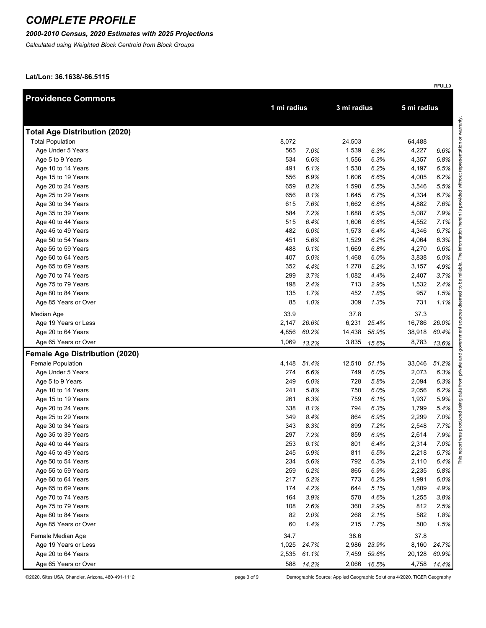### *2000-2010 Census, 2020 Estimates with 2025 Projections*

*Calculated using Weighted Block Centroid from Block Groups*

**Lat/Lon: 36.1638/-86.5115**

| <b>Providence Commons</b>             |             |             |             |       |             |       |
|---------------------------------------|-------------|-------------|-------------|-------|-------------|-------|
|                                       | 1 mi radius |             | 3 mi radius |       | 5 mi radius |       |
| <b>Total Age Distribution (2020)</b>  |             |             |             |       |             |       |
| <b>Total Population</b>               | 8,072       |             | 24,503      |       | 64,488      |       |
| Age Under 5 Years                     | 565         | 7.0%        | 1,539       | 6.3%  | 4,227       | 6.6%  |
| Age 5 to 9 Years                      | 534         | 6.6%        | 1,556       | 6.3%  | 4,357       | 6.8%  |
| Age 10 to 14 Years                    | 491         | 6.1%        | 1,530       | 6.2%  | 4,197       | 6.5%  |
| Age 15 to 19 Years                    | 556         | 6.9%        | 1,606       | 6.6%  | 4,005       | 6.2%  |
| Age 20 to 24 Years                    | 659         | 8.2%        | 1,598       | 6.5%  | 3,546       | 5.5%  |
| Age 25 to 29 Years                    | 656         | 8.1%        | 1,645       | 6.7%  | 4,334       | 6.7%  |
| Age 30 to 34 Years                    | 615         | 7.6%        | 1,662       | 6.8%  | 4,882       | 7.6%  |
| Age 35 to 39 Years                    | 584         | 7.2%        | 1,688       | 6.9%  | 5,087       | 7.9%  |
| Age 40 to 44 Years                    | 515         | 6.4%        | 1,606       | 6.6%  | 4,552       | 7.1%  |
| Age 45 to 49 Years                    | 482         | 6.0%        | 1,573       | 6.4%  | 4,346       | 6.7%  |
| Age 50 to 54 Years                    | 451         | 5.6%        | 1,529       | 6.2%  | 4,064       | 6.3%  |
| Age 55 to 59 Years                    | 488         | 6.1%        | 1,669       | 6.8%  | 4,270       | 6.6%  |
| Age 60 to 64 Years                    | 407         | 5.0%        | 1,468       | 6.0%  | 3,838       | 6.0%  |
| Age 65 to 69 Years                    | 352         | 4.4%        | 1,278       | 5.2%  | 3,157       | 4.9%  |
| Age 70 to 74 Years                    | 299         | 3.7%        | 1,082       | 4.4%  | 2,407       | 3.7%  |
| Age 75 to 79 Years                    | 198         | 2.4%        | 713         | 2.9%  | 1,532       | 2.4%  |
| Age 80 to 84 Years                    | 135         | 1.7%        | 452         | 1.8%  | 957         | 1.5%  |
| Age 85 Years or Over                  | 85          | 1.0%        | 309         | 1.3%  | 731         | 1.1%  |
| Median Age                            | 33.9        |             | 37.8        |       | 37.3        |       |
| Age 19 Years or Less                  | 2,147       | 26.6%       | 6,231       | 25.4% | 16,786      | 26.0% |
| Age 20 to 64 Years                    | 4,856       | 60.2%       | 14,438      | 58.9% | 38,918      | 60.4% |
| Age 65 Years or Over                  | 1,069       | 13.2%       | 3,835       | 15.6% | 8,783       | 13.6% |
| <b>Female Age Distribution (2020)</b> |             |             |             |       |             |       |
| Female Population                     |             | 4,148 51.4% | 12,510      | 51.1% | 33,046      | 51.2% |
| Age Under 5 Years                     | 274         | 6.6%        | 749         | 6.0%  | 2,073       | 6.3%  |
| Age 5 to 9 Years                      | 249         | 6.0%        | 728         | 5.8%  | 2,094       | 6.3%  |
| Age 10 to 14 Years                    | 241         | 5.8%        | 750         | 6.0%  | 2,056       | 6.2%  |
| Age 15 to 19 Years                    | 261         | 6.3%        | 759         | 6.1%  | 1,937       | 5.9%  |
| Age 20 to 24 Years                    | 338         | 8.1%        | 794         | 6.3%  | 1,799       | 5.4%  |
| Age 25 to 29 Years                    | 349         | 8.4%        | 864         | 6.9%  | 2,299       | 7.0%  |
| Age 30 to 34 Years                    | 343         | 8.3%        | 899         | 7.2%  | 2,548       | 7.7%  |
| Age 35 to 39 Years                    | 297         | 7.2%        | 859         | 6.9%  | 2,614       | 7.9%  |
| Age 40 to 44 Years                    | 253         | 6.1%        | 801         | 6.4%  | 2,314       | 7.0%  |
| Age 45 to 49 Years                    | 245         | 5.9%        | 811         | 6.5%  | 2,218       | 6.7%  |
| Age 50 to 54 Years                    | 234         | 5.6%        | 792         | 6.3%  | 2,110       | 6.4%  |
| Age 55 to 59 Years                    | 259         | 6.2%        | 865         | 6.9%  | 2,235       | 6.8%  |
| Age 60 to 64 Years                    | 217         | 5.2%        | 773         | 6.2%  | 1,991       | 6.0%  |
| Age 65 to 69 Years                    | 174         | 4.2%        | 644         | 5.1%  | 1,609       | 4.9%  |
| Age 70 to 74 Years                    | 164         | 3.9%        | 578         | 4.6%  | 1,255       | 3.8%  |
| Age 75 to 79 Years                    | 108         | 2.6%        | 360         | 2.9%  | 812         | 2.5%  |
| Age 80 to 84 Years                    | 82          | 2.0%        | 268         | 2.1%  | 582         | 1.8%  |
| Age 85 Years or Over                  | 60          | 1.4%        | 215         | 1.7%  | 500         | 1.5%  |
| Female Median Age                     | 34.7        |             | 38.6        |       | 37.8        |       |
| Age 19 Years or Less                  | 1,025       | 24.7%       | 2,986       | 23.9% | 8,160       | 24.7% |
| Age 20 to 64 Years                    | 2,535       | 61.1%       | 7,459       | 59.6% | 20,128      | 60.9% |
| Age 65 Years or Over                  | 588         | 14.2%       | 2,066       | 16.5% | 4,758       | 14.4% |

©2020, Sites USA, Chandler, Arizona, 480-491-1112 page 3 of 9 Demographic Source: Applied Geographic Solutions 4/2020, TIGER Geography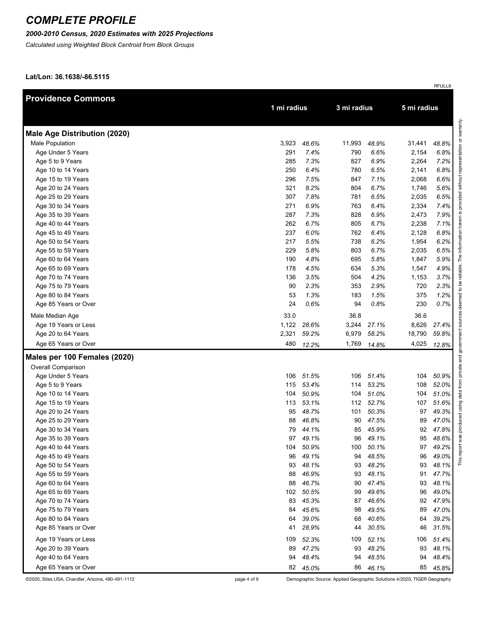### *2000-2010 Census, 2020 Estimates with 2025 Projections*

*Calculated using Weighted Block Centroid from Block Groups*

**Lat/Lon: 36.1638/-86.5115**

| <b>Providence Commons</b>           |             |             |             |       |             |       |  |
|-------------------------------------|-------------|-------------|-------------|-------|-------------|-------|--|
|                                     | 1 mi radius |             | 3 mi radius |       | 5 mi radius |       |  |
|                                     |             |             |             |       |             |       |  |
| <b>Male Age Distribution (2020)</b> |             |             |             |       |             |       |  |
| Male Population                     | 3,923       | 48.6%       | 11,993      | 48.9% | 31,441      | 48.8% |  |
| Age Under 5 Years                   | 291         | 7.4%        | 790         | 6.6%  | 2,154       | 6.8%  |  |
| Age 5 to 9 Years                    | 285         | 7.3%        | 827         | 6.9%  | 2,264       | 7.2%  |  |
| Age 10 to 14 Years                  | 250         | 6.4%        | 780         | 6.5%  | 2,141       | 6.8%  |  |
| Age 15 to 19 Years                  | 296         | 7.5%        | 847         | 7.1%  | 2,068       | 6.6%  |  |
| Age 20 to 24 Years                  | 321         | 8.2%        | 804         | 6.7%  | 1,746       | 5.6%  |  |
| Age 25 to 29 Years                  | 307         | 7.8%        | 781         | 6.5%  | 2,035       | 6.5%  |  |
| Age 30 to 34 Years                  | 271         | 6.9%        | 763         | 6.4%  | 2,334       | 7.4%  |  |
| Age 35 to 39 Years                  | 287         | 7.3%        | 828         | 6.9%  | 2,473       | 7.9%  |  |
| Age 40 to 44 Years                  | 262         | 6.7%        | 805         | 6.7%  | 2,238       | 7.1%  |  |
| Age 45 to 49 Years                  | 237         | 6.0%        | 762         | 6.4%  | 2,128       | 6.8%  |  |
| Age 50 to 54 Years                  | 217         | 5.5%        | 738         | 6.2%  | 1,954       | 6.2%  |  |
| Age 55 to 59 Years                  | 229         | 5.8%        | 803         | 6.7%  | 2,035       | 6.5%  |  |
| Age 60 to 64 Years                  | 190         | 4.8%        | 695         | 5.8%  | 1,847       | 5.9%  |  |
| Age 65 to 69 Years                  | 178         | 4.5%        | 634         | 5.3%  | 1,547       | 4.9%  |  |
| Age 70 to 74 Years                  | 136         | 3.5%        | 504         | 4.2%  | 1,153       | 3.7%  |  |
| Age 75 to 79 Years                  | 90          | 2.3%        | 353         | 2.9%  | 720         | 2.3%  |  |
| Age 80 to 84 Years                  | 53          | 1.3%        | 183         | 1.5%  | 375         | 1.2%  |  |
| Age 85 Years or Over                | 24          | 0.6%        | 94          | 0.8%  | 230         | 0.7%  |  |
| Male Median Age                     | 33.0        |             | 36.8        |       | 36.6        |       |  |
| Age 19 Years or Less                |             | 1,122 28.6% | 3,244       | 27.1% | 8,626       | 27.4% |  |
| Age 20 to 64 Years                  | 2,321       | 59.2%       | 6,979       | 58.2% | 18,790      | 59.8% |  |
| Age 65 Years or Over                | 480         | 12.2%       | 1,769       | 14.8% | 4,025       | 12.8% |  |
| Males per 100 Females (2020)        |             |             |             |       |             |       |  |
| Overall Comparison                  |             |             |             |       |             |       |  |
| Age Under 5 Years                   | 106         | 51.5%       | 106         | 51.4% | 104         | 50.9% |  |
| Age 5 to 9 Years                    | 115         | 53.4%       | 114         | 53.2% | 108         | 52.0% |  |
| Age 10 to 14 Years                  | 104         | 50.9%       | 104         | 51.0% | 104         | 51.0% |  |
| Age 15 to 19 Years                  | 113         | 53.1%       | 112         | 52.7% | 107         | 51.6% |  |
| Age 20 to 24 Years                  | 95          | 48.7%       | 101         | 50.3% | 97          | 49.3% |  |
| Age 25 to 29 Years                  | 88          | 46.8%       | 90          | 47.5% | 89          | 47.0% |  |
| Age 30 to 34 Years                  | 79          | 44.1%       | 85          | 45.9% | 92          | 47.8% |  |
| Age 35 to 39 Years                  |             | 97 49.1%    | 96          | 49.1% | 95          | 48.6% |  |
| Age 40 to 44 Years                  | 104         | 50.9%       | 100         | 50.1% | 97          | 49.2% |  |
| Age 45 to 49 Years                  | 96          | 49.1%       | 94          | 48.5% | 96          | 49.0% |  |
| Age 50 to 54 Years                  | 93          | 48.1%       | 93          | 48.2% | 93          | 48.1% |  |
| Age 55 to 59 Years                  | 88          | 46.9%       | 93          | 48.1% | 91          | 47.7% |  |
| Age 60 to 64 Years                  | 88          | 46.7%       | 90          | 47.4% | 93          | 48.1% |  |
| Age 65 to 69 Years                  | 102         | 50.5%       | 99          | 49.6% | 96          | 49.0% |  |
| Age 70 to 74 Years                  | 83          | 45.3%       | 87          | 46.6% | 92          | 47.9% |  |
| Age 75 to 79 Years                  | 84          | 45.6%       | 98          | 49.5% | 89          | 47.0% |  |
| Age 80 to 84 Years                  | 64          | 39.0%       | 68          | 40.6% | 64          | 39.2% |  |
| Age 85 Years or Over                | 41          | 28.9%       | 44          | 30.5% | 46          | 31.5% |  |
| Age 19 Years or Less                | 109         | 52.3%       | 109         | 52.1% | 106         | 51.4% |  |
| Age 20 to 39 Years                  | 89          | 47.2%       | 93          | 48.2% | 93          | 48.1% |  |
| Age 40 to 64 Years                  | 94          | 48.4%       | 94          | 48.5% | 94          | 48.4% |  |
| Age 65 Years or Over                |             | 82 45.0%    | 86          | 46.1% | 85          | 45.8% |  |

©2020, Sites USA, Chandler, Arizona, 480-491-1112 page 4 of 9 Demographic Source: Applied Geographic Solutions 4/2020, TIGER Geography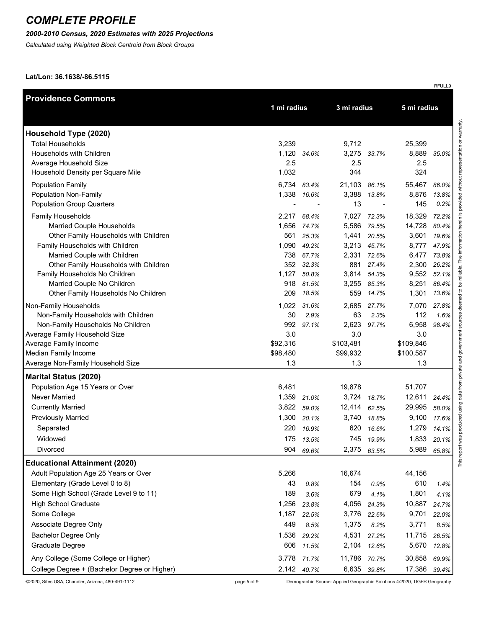### *2000-2010 Census, 2020 Estimates with 2025 Projections*

*Calculated using Weighted Block Centroid from Block Groups*

**Lat/Lon: 36.1638/-86.5115**

| <b>Providence Commons</b>                                          |             |             |              |                |              |       |  |
|--------------------------------------------------------------------|-------------|-------------|--------------|----------------|--------------|-------|--|
|                                                                    | 1 mi radius |             | 3 mi radius  |                | 5 mi radius  |       |  |
| Household Type (2020)                                              |             |             |              |                |              |       |  |
| <b>Total Households</b>                                            | 3,239       |             | 9,712        |                | 25,399       |       |  |
| Households with Children                                           | 1,120       | 34.6%       |              | 3,275 33.7%    | 8,889        | 35.0% |  |
| Average Household Size                                             | 2.5         |             | 2.5          |                | 2.5          |       |  |
| Household Density per Square Mile                                  | 1,032       |             | 344          |                | 324          |       |  |
| <b>Population Family</b>                                           |             | 6,734 83.4% | 21,103 86.1% |                | 55,467       | 86.0% |  |
| <b>Population Non-Family</b>                                       | 1,338       | 16.6%       | 3,388        | 13.8%          | 8,876        | 13.8% |  |
| <b>Population Group Quarters</b>                                   |             |             | 13           |                | 145          | 0.2%  |  |
| Family Households                                                  | 2,217       | 68.4%       | 7,027        | 72.3%          | 18,329       | 72.2% |  |
| Married Couple Households                                          | 1,656       | 74.7%       | 5,586        | 79.5%          | 14,728       | 80.4% |  |
| Other Family Households with Children                              | 561         | 25.3%       | 1,441        | 20.5%          | 3,601        | 19.6% |  |
| Family Households with Children                                    | 1,090       | 49.2%       | 3,213        | 45.7%          | 8,777        | 47.9% |  |
| Married Couple with Children                                       | 738         | 67.7%       | 2,331        | 72.6%          | 6,477        | 73.8% |  |
| Other Family Households with Children                              | 352         | 32.3%       | 881          | 27.4%          | 2,300        | 26.2% |  |
| Family Households No Children                                      | 1,127       | 50.8%       | 3,814        | 54.3%          | 9,552        | 52.1% |  |
| Married Couple No Children                                         | 918<br>209  | 81.5%       | 3,255<br>559 | 85.3%<br>14.7% | 8,251        | 86.4% |  |
| Other Family Households No Children                                |             | 18.5%       |              |                | 1,301        | 13.6% |  |
| Non-Family Households                                              |             | 1,022 31.6% | 2,685        | 27.7%          | 7,070        | 27.8% |  |
| Non-Family Households with Children                                | 30          | 2.9%        | 63           | 2.3%           | 112          | 1.6%  |  |
| Non-Family Households No Children<br>Average Family Household Size | 992<br>3.0  | 97.1%       | 2,623<br>3.0 | 97.7%          | 6,958<br>3.0 | 98.4% |  |
| Average Family Income                                              | \$92,316    |             | \$103,481    |                | \$109,846    |       |  |
| Median Family Income                                               | \$98,480    |             | \$99,932     |                | \$100,587    |       |  |
| Average Non-Family Household Size                                  | 1.3         |             | 1.3          |                | 1.3          |       |  |
| <b>Marital Status (2020)</b>                                       |             |             |              |                |              |       |  |
| Population Age 15 Years or Over                                    | 6,481       |             | 19,878       |                | 51,707       |       |  |
| Never Married                                                      | 1,359       | 21.0%       | 3,724        | 18.7%          | 12,611       | 24.4% |  |
| <b>Currently Married</b>                                           | 3,822       | 59.0%       | 12,414       | 62.5%          | 29,995       | 58.0% |  |
| <b>Previously Married</b>                                          | 1,300       | 20.1%       | 3,740        | 18.8%          | 9,100        | 17.6% |  |
| Separated                                                          | 220         | 16.9%       | 620          | 16.6%          | 1,279        | 14.1% |  |
| Widowed                                                            |             | 175 13.5%   | 745          | 19.9%          | 1,833        | 20.1% |  |
| Divorced                                                           | 904         | 69.6%       | 2,375        | 63.5%          | 5,989        | 65.8% |  |
| <b>Educational Attainment (2020)</b>                               |             |             |              |                |              |       |  |
| Adult Population Age 25 Years or Over                              | 5,266       |             | 16,674       |                | 44,156       |       |  |
| Elementary (Grade Level 0 to 8)                                    | 43          | 0.8%        | 154          | 0.9%           | 610          | 1.4%  |  |
| Some High School (Grade Level 9 to 11)                             | 189         | 3.6%        | 679          | 4.1%           | 1,801        | 4.1%  |  |
| <b>High School Graduate</b>                                        | 1,256       | 23.8%       | 4,056        | 24.3%          | 10,887       | 24.7% |  |
| Some College                                                       | 1,187       | 22.5%       | 3,776        | 22.6%          | 9,701        | 22.0% |  |
| Associate Degree Only                                              | 449         | 8.5%        | 1,375        | 8.2%           | 3,771        | 8.5%  |  |
| Bachelor Degree Only                                               | 1,536       | 29.2%       | 4,531        | 27.2%          | 11,715       | 26.5% |  |
| Graduate Degree                                                    | 606         | 11.5%       | 2,104        | 12.6%          | 5,670        | 12.8% |  |
| Any College (Some College or Higher)                               | 3,778       | 71.7%       | 11,786       | 70.7%          | 30,858       | 69.9% |  |
| College Degree + (Bachelor Degree or Higher)                       |             | 2,142 40.7% | 6,635        | 39.8%          | 17,386       | 39.4% |  |

©2020, Sites USA, Chandler, Arizona, 480-491-1112 page 5 of 9 Demographic Source: Applied Geographic Solutions 4/2020, TIGER Geography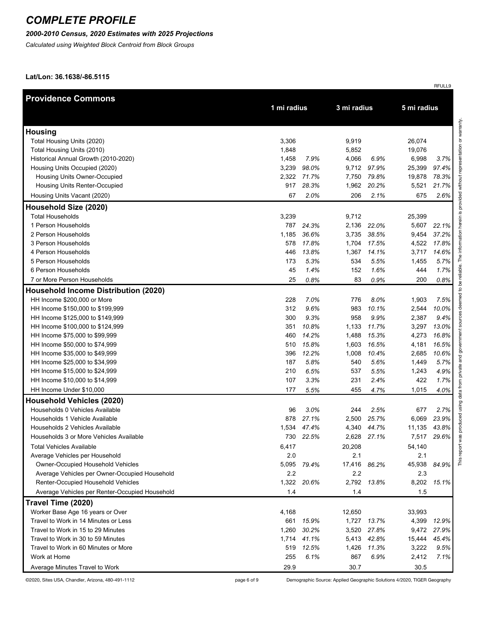### *2000-2010 Census, 2020 Estimates with 2025 Projections*

*Calculated using Weighted Block Centroid from Block Groups*

**Lat/Lon: 36.1638/-86.5115**

| <b>Providence Commons</b>                      |             |           |             |             |             |       |
|------------------------------------------------|-------------|-----------|-------------|-------------|-------------|-------|
|                                                | 1 mi radius |           | 3 mi radius |             | 5 mi radius |       |
|                                                |             |           |             |             |             |       |
| <b>Housing</b>                                 |             |           |             |             |             |       |
| Total Housing Units (2020)                     | 3,306       |           | 9,919       |             | 26,074      |       |
| Total Housing Units (2010)                     | 1,848       |           | 5,852       |             | 19,076      |       |
| Historical Annual Growth (2010-2020)           | 1,458       | 7.9%      | 4,066       | 6.9%        | 6,998       | 3.7%  |
| Housing Units Occupied (2020)                  | 3,239       | 98.0%     | 9,712       | 97.9%       | 25,399      | 97.4% |
| Housing Units Owner-Occupied                   | 2,322       | 71.7%     | 7,750       | 79.8%       | 19,878      | 78.3% |
| <b>Housing Units Renter-Occupied</b>           | 917         | 28.3%     | 1,962       | 20.2%       | 5,521       | 21.7% |
| Housing Units Vacant (2020)                    | 67          | 2.0%      | 206         | 2.1%        | 675         | 2.6%  |
| Household Size (2020)                          |             |           |             |             |             |       |
| <b>Total Households</b>                        | 3,239       |           | 9,712       |             | 25,399      |       |
| 1 Person Households                            | 787         | 24.3%     | 2,136       | 22.0%       | 5,607       | 22.1% |
| 2 Person Households                            | 1,185       | 36.6%     | 3,735       | 38.5%       | 9,454       | 37.2% |
| 3 Person Households                            | 578         | 17.8%     | 1,704       | 17.5%       | 4,522       | 17.8% |
| 4 Person Households                            | 446         | 13.8%     | 1,367       | 14.1%       | 3,717       | 14.6% |
| 5 Person Households                            | 173         | 5.3%      | 534         | 5.5%        | 1,455       | 5.7%  |
| 6 Person Households                            | 45          | 1.4%      | 152         | 1.6%        | 444         | 1.7%  |
| 7 or More Person Households                    | 25          | 0.8%      | 83          | 0.9%        | 200         | 0.8%  |
| <b>Household Income Distribution (2020)</b>    |             |           |             |             |             |       |
| HH Income \$200,000 or More                    | 228         | 7.0%      | 776         | 8.0%        | 1,903       | 7.5%  |
| HH Income \$150,000 to \$199,999               | 312         | 9.6%      | 983         | 10.1%       | 2,544       | 10.0% |
| HH Income \$125,000 to \$149,999               | 300         | 9.3%      | 958         | 9.9%        | 2,387       | 9.4%  |
| HH Income \$100,000 to \$124,999               | 351         | 10.8%     | 1,133       | 11.7%       | 3,297       | 13.0% |
| HH Income \$75,000 to \$99,999                 | 460         | 14.2%     | 1,488       | 15.3%       | 4,273       | 16.8% |
| HH Income \$50,000 to \$74,999                 | 510         | 15.8%     | 1,603       | 16.5%       | 4,181       | 16.5% |
| HH Income \$35,000 to \$49,999                 | 396         | 12.2%     | 1,008       | 10.4%       | 2,685       | 10.6% |
| HH Income \$25,000 to \$34,999                 | 187         | 5.8%      | 540         | 5.6%        | 1,449       | 5.7%  |
| HH Income \$15,000 to \$24,999                 | 210         | 6.5%      | 537         | 5.5%        | 1,243       | 4.9%  |
| HH Income \$10,000 to \$14,999                 | 107         | 3.3%      | 231         | 2.4%        | 422         | 1.7%  |
| HH Income Under \$10,000                       | 177         | 5.5%      | 455         | 4.7%        | 1,015       | 4.0%  |
| <b>Household Vehicles (2020)</b>               |             |           |             |             |             |       |
| Households 0 Vehicles Available                | 96          | 3.0%      | 244         | 2.5%        | 677         | 2.7%  |
| Households 1 Vehicle Available                 | 878         | 27.1%     | 2,500       | 25.7%       | 6,069       | 23.9% |
| Households 2 Vehicles Available                | 1,534       | 47.4%     | 4,340       | 44.7%       | 11,135      | 43.8% |
| Households 3 or More Vehicles Available        |             | 730 22.5% |             | 2,628 27.1% | 7,517       | 29.6% |
| <b>Total Vehicles Available</b>                | 6,417       |           | 20,208      |             | 54,140      |       |
| Average Vehicles per Household                 | 2.0         |           | 2.1         |             | 2.1         |       |
| Owner-Occupied Household Vehicles              | 5,095       | 79.4%     | 17,416      | 86.2%       | 45,938      | 84.9% |
| Average Vehicles per Owner-Occupied Household  | 2.2         |           | 2.2         |             | 2.3         |       |
| Renter-Occupied Household Vehicles             | 1,322       | 20.6%     |             | 2,792 13.8% | 8,202       | 15.1% |
| Average Vehicles per Renter-Occupied Household | 1.4         |           | 1.4         |             | 1.5         |       |
| Travel Time (2020)                             |             |           |             |             |             |       |
| Worker Base Age 16 years or Over               | 4,168       |           | 12,650      |             | 33,993      |       |
| Travel to Work in 14 Minutes or Less           | 661         | 15.9%     | 1,727       | 13.7%       | 4,399       | 12.9% |
| Travel to Work in 15 to 29 Minutes             | 1,260       | 30.2%     | 3,520       | 27.8%       | 9,472       | 27.9% |
| Travel to Work in 30 to 59 Minutes             | 1,714       | 41.1%     |             | 5,413 42.8% | 15,444      | 45.4% |
| Travel to Work in 60 Minutes or More           | 519         | 12.5%     | 1,426       | 11.3%       | 3,222       | 9.5%  |
| Work at Home                                   | 255         | 6.1%      | 867         | 6.9%        | 2,412       | 7.1%  |
| Average Minutes Travel to Work                 | 29.9        |           | 30.7        |             | 30.5        |       |

©2020, Sites USA, Chandler, Arizona, 480-491-1112 page 6 of 9 Demographic Source: Applied Geographic Solutions 4/2020, TIGER Geography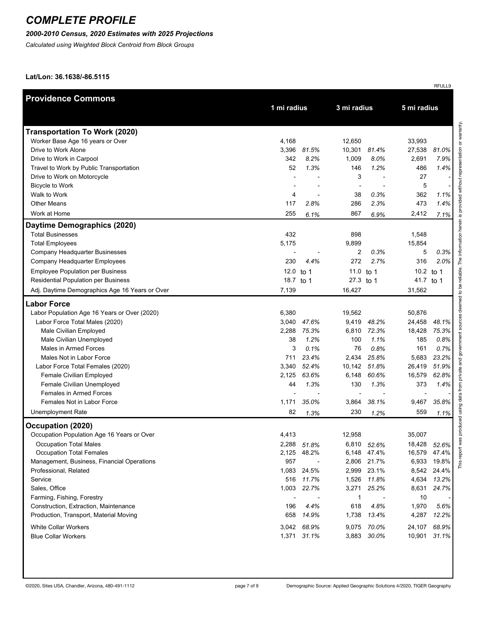### *2000-2010 Census, 2020 Estimates with 2025 Projections*

*Calculated using Weighted Block Centroid from Block Groups*

**Lat/Lon: 36.1638/-86.5115**

| <b>Providence Commons</b>                      |             |                          |                          |             |              |              |
|------------------------------------------------|-------------|--------------------------|--------------------------|-------------|--------------|--------------|
|                                                | 1 mi radius |                          | 3 mi radius              |             | 5 mi radius  |              |
|                                                |             |                          |                          |             |              |              |
| <b>Transportation To Work (2020)</b>           |             |                          |                          |             |              |              |
| Worker Base Age 16 years or Over               | 4,168       |                          | 12,650                   |             | 33,993       |              |
| Drive to Work Alone                            | 3,396       | 81.5%                    | 10,301                   | 81.4%       | 27,538       | 81.0%        |
| Drive to Work in Carpool                       | 342         | 8.2%                     | 1,009                    | 8.0%        | 2,691        | 7.9%         |
| Travel to Work by Public Transportation        | 52          | 1.3%                     | 146                      | 1.2%        | 486          | 1.4%         |
| Drive to Work on Motorcycle                    |             |                          | 3                        |             | 27           |              |
| Bicycle to Work                                |             |                          | $\overline{\phantom{a}}$ |             | 5            |              |
| Walk to Work                                   | 4           |                          | 38                       | 0.3%        | 362          | 1.1%         |
| <b>Other Means</b>                             | 117         | 2.8%                     | 286                      | 2.3%        | 473          | 1.4%         |
| Work at Home                                   | 255         | 6.1%                     | 867                      | 6.9%        | 2,412        | 7.1%         |
| Daytime Demographics (2020)                    |             |                          |                          |             |              |              |
| <b>Total Businesses</b>                        | 432         |                          | 898                      |             | 1,548        |              |
| <b>Total Employees</b>                         | 5,175       |                          | 9,899                    |             | 15,854       |              |
| Company Headquarter Businesses                 |             | $\overline{\phantom{a}}$ | 2                        | 0.3%        | 5            | 0.3%         |
| Company Headquarter Employees                  | 230         | 4.4%                     | 272                      | 2.7%        | 316          | 2.0%         |
| <b>Employee Population per Business</b>        | 12.0 to 1   |                          | 11.0 to 1                |             | 10.2 to 1    |              |
| Residential Population per Business            | 18.7 to 1   |                          | 27.3 to 1                |             | 41.7 to 1    |              |
| Adj. Daytime Demographics Age 16 Years or Over | 7,139       |                          | 16,427                   |             | 31,562       |              |
| <b>Labor Force</b>                             |             |                          |                          |             |              |              |
| Labor Population Age 16 Years or Over (2020)   | 6,380       |                          | 19,562                   |             | 50,876       |              |
| Labor Force Total Males (2020)                 | 3,040       | 47.6%                    | 9,419                    | 48.2%       | 24,458       | 48.1%        |
| Male Civilian Employed                         | 2,288       | 75.3%                    | 6,810                    | 72.3%       | 18,428       | 75.3%        |
| Male Civilian Unemployed                       | 38          | 1.2%                     | 100                      | 1.1%        | 185          | 0.8%         |
| Males in Armed Forces                          | 3           | 0.1%                     | 76                       | 0.8%        | 161          | 0.7%         |
| Males Not in Labor Force                       | 711         | 23.4%                    | 2,434                    | 25.8%       | 5,683        | 23.2%        |
| Labor Force Total Females (2020)               | 3,340       | 52.4%                    | 10,142                   | 51.8%       | 26,419       | 51.9%        |
| Female Civilian Employed                       | 2,125       | 63.6%                    | 6,148                    | 60.6%       | 16,579       | 62.8%        |
| Female Civilian Unemployed                     | 44          | 1.3%                     | 130                      | 1.3%        | 373          | 1.4%         |
| Females in Armed Forces                        |             |                          |                          |             |              |              |
| Females Not in Labor Force                     | 1,171       | 35.0%                    | 3,864                    | 38.1%       | 9,467        | 35.8%        |
| <b>Unemployment Rate</b>                       | 82          | 1.3%                     | 230                      | 1.2%        | 559          | $1.1\%$      |
| Occupation (2020)                              |             |                          |                          |             |              |              |
| Occupation Population Age 16 Years or Over     | 4,413       |                          | 12.958                   |             | 35,007       |              |
| <b>Occupation Total Males</b>                  |             | 2,288 51.8%              |                          | 6,810 52.6% | 18,428 52.6% |              |
| <b>Occupation Total Females</b>                |             | 2,125 48.2%              |                          | 6,148 47.4% |              | 16,579 47.4% |
| Management, Business, Financial Operations     | 957         |                          |                          | 2,806 21.7% | 6,933        | 19.8%        |
| Professional, Related                          |             | 1,083 24.5%              |                          | 2,999 23.1% | 8,542        | 24.4%        |
| Service                                        |             | 516 11.7%                |                          | 1,526 11.8% | 4,634        | 13.2%        |
| Sales, Office                                  | 1,003       | 22.7%                    | 3,271                    | 25.2%       | 8,631        | 24.7%        |
| Farming, Fishing, Forestry                     |             |                          | 1                        |             | 10           |              |
| Construction, Extraction, Maintenance          | 196         | 4.4%                     | 618                      | 4.8%        | 1,970        | 5.6%         |
| Production, Transport, Material Moving         | 658         | 14.9%                    | 1,738                    | 13.4%       | 4,287        | 12.2%        |
| <b>White Collar Workers</b>                    |             | 3,042 68.9%              |                          | 9,075 70.0% | 24,107       | 68.9%        |
| <b>Blue Collar Workers</b>                     |             | 1,371 31.1%              |                          | 3,883 30.0% | 10,901       | 31.1%        |
|                                                |             |                          |                          |             |              |              |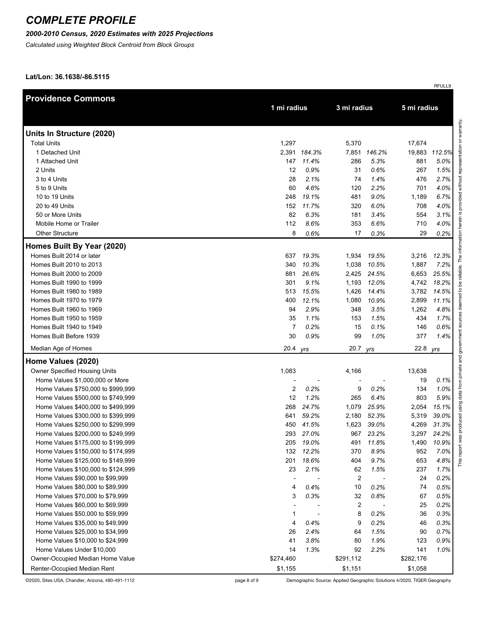#### *2000-2010 Census, 2020 Estimates with 2025 Projections*

*Calculated using Weighted Block Centroid from Block Groups*

**Lat/Lon: 36.1638/-86.5115**

| <b>Providence Commons</b>          |                |              |           |              |             |        |
|------------------------------------|----------------|--------------|-----------|--------------|-------------|--------|
|                                    |                | 1 mi radius  |           | 3 mi radius  | 5 mi radius |        |
| Units In Structure (2020)          |                |              |           |              |             |        |
| <b>Total Units</b>                 | 1,297          |              | 5,370     |              | 17,674      |        |
| 1 Detached Unit                    |                | 2,391 184.3% |           | 7,851 146.2% | 19,883      | 112.5% |
| 1 Attached Unit                    | 147            | 11.4%        | 286       | 5.3%         | 881         | 5.0%   |
| 2 Units                            | 12             | 0.9%         | 31        | 0.6%         | 267         | 1.5%   |
| 3 to 4 Units                       | 28             | 2.1%         | 74        | 1.4%         | 476         | 2.7%   |
| 5 to 9 Units                       | 60             | 4.6%         | 120       | 2.2%         | 701         | 4.0%   |
| 10 to 19 Units                     | 248            | 19.1%        | 481       | 9.0%         | 1,189       | 6.7%   |
| 20 to 49 Units                     | 152            | 11.7%        | 320       | 6.0%         | 708         | 4.0%   |
| 50 or More Units                   | 82             | 6.3%         | 181       | 3.4%         | 554         | 3.1%   |
| Mobile Home or Trailer             | 112            | 8.6%         | 353       | 6.6%         | 710         | 4.0%   |
| <b>Other Structure</b>             | 8              | 0.6%         | 17        | 0.3%         | 29          | 0.2%   |
| Homes Built By Year (2020)         |                |              |           |              |             |        |
| Homes Built 2014 or later          | 637            | 19.3%        | 1,934     | 19.5%        | 3,216       | 12.3%  |
| Homes Built 2010 to 2013           | 340            | 10.3%        | 1,038     | 10.5%        | 1,887       | 7.2%   |
| Homes Built 2000 to 2009           | 881            | 26.6%        | 2,425     | 24.5%        | 6,653       | 25.5%  |
| Homes Built 1990 to 1999           | 301            | 9.1%         | 1,193     | 12.0%        | 4,742       | 18.2%  |
| Homes Built 1980 to 1989           | 513            | 15.5%        | 1,426     | 14.4%        | 3,782       | 14.5%  |
| Homes Built 1970 to 1979           | 400            | 12.1%        | 1,080     | 10.9%        | 2,899       | 11.1%  |
| Homes Built 1960 to 1969           | 94             | 2.9%         | 348       | 3.5%         | 1,262       | 4.8%   |
| Homes Built 1950 to 1959           | 35             | 1.1%         | 153       | 1.5%         | 434         | 1.7%   |
| Homes Built 1940 to 1949           | $\overline{7}$ | 0.2%         | 15        | 0.1%         | 146         | 0.6%   |
| Homes Built Before 1939            | 30             | 0.9%         | 99        | 1.0%         | 377         | 1.4%   |
| Median Age of Homes                | 20.4 yrs       |              | 20.7      | yrs          | 22.8        | yrs    |
| Home Values (2020)                 |                |              |           |              |             |        |
| Owner Specified Housing Units      | 1,083          |              | 4,166     |              | 13,638      |        |
| Home Values \$1,000,000 or More    |                |              |           |              | 19          | 0.1%   |
| Home Values \$750,000 to \$999,999 | 2              | 0.2%         | 9         | 0.2%         | 134         | 1.0%   |
| Home Values \$500,000 to \$749,999 | 12             | 1.2%         | 265       | 6.4%         | 803         | 5.9%   |
| Home Values \$400,000 to \$499,999 | 268            | 24.7%        | 1,079     | 25.9%        | 2,054       | 15.1%  |
| Home Values \$300,000 to \$399,999 | 641            | 59.2%        | 2,180     | 52.3%        | 5,319       | 39.0%  |
| Home Values \$250,000 to \$299,999 | 450            | 41.5%        | 1,623     | 39.0%        | 4,269       | 31.3%  |
| Home Values \$200,000 to \$249,999 | 293            | 27.0%        | 967       | 23.2%        | 3,297       | 24.2%  |
| Home Values \$175,000 to \$199,999 | 205            | 19.0%        | 491       | 11.8%        | 1,490       | 10.9%  |
| Home Values \$150,000 to \$174,999 | 132            | 12.2%        | 370       | 8.9%         | 952         | 7.0%   |
| Home Values \$125,000 to \$149,999 | 201            | 18.6%        | 404       | 9.7%         | 653         | 4.8%   |
| Home Values \$100,000 to \$124,999 | 23             | 2.1%         | 62        | 1.5%         | 237         | 1.7%   |
| Home Values \$90,000 to \$99,999   |                |              | 2         | Ĭ.           | 24          | 0.2%   |
| Home Values \$80,000 to \$89,999   | 4              | 0.4%         | 10        | 0.2%         | 74          | 0.5%   |
| Home Values \$70,000 to \$79,999   | 3              | 0.3%         | 32        | 0.8%         | 67          | 0.5%   |
| Home Values \$60,000 to \$69,999   |                |              | 2         |              | 25          | 0.2%   |
| Home Values \$50,000 to \$59,999   | 1              |              | 8         | 0.2%         | 36          | 0.3%   |
| Home Values \$35,000 to \$49,999   | 4              | 0.4%         | 9         | 0.2%         | 46          | 0.3%   |
| Home Values \$25,000 to \$34,999   | 26             | 2.4%         | 64        | 1.5%         | 90          | 0.7%   |
| Home Values \$10,000 to \$24,999   | 41             | 3.8%         | 80        | 1.9%         | 123         | 0.9%   |
| Home Values Under \$10,000         | 14             | 1.3%         | 92        | 2.2%         | 141         | 1.0%   |
| Owner-Occupied Median Home Value   | \$274,460      |              | \$291,112 |              | \$282,176   |        |
| Renter-Occupied Median Rent        | \$1,155        |              | \$1,151   |              | \$1,058     |        |

©2020, Sites USA, Chandler, Arizona, 480-491-1112 page 8 of 9 Demographic Source: Applied Geographic Solutions 4/2020, TIGER Geography